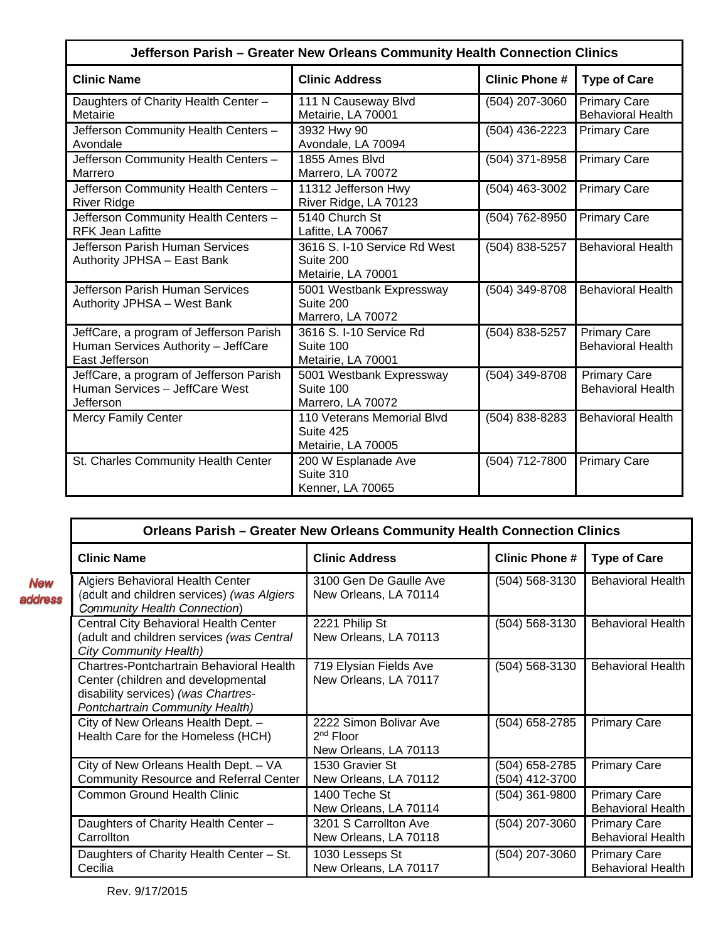| Jefferson Parish - Greater New Orleans Community Health Connection Clinics                       |                                                                 |                       |                                                 |
|--------------------------------------------------------------------------------------------------|-----------------------------------------------------------------|-----------------------|-------------------------------------------------|
| <b>Clinic Name</b>                                                                               | <b>Clinic Address</b>                                           | <b>Clinic Phone #</b> | <b>Type of Care</b>                             |
| Daughters of Charity Health Center -<br>Metairie                                                 | 111 N Causeway Blvd<br>Metairie, LA 70001                       | (504) 207-3060        | <b>Primary Care</b><br><b>Behavioral Health</b> |
| Jefferson Community Health Centers -<br>Avondale                                                 | 3932 Hwy 90<br>Avondale, LA 70094                               | (504) 436-2223        | <b>Primary Care</b>                             |
| Jefferson Community Health Centers -<br>Marrero                                                  | 1855 Ames Blvd<br>Marrero, LA 70072                             | (504) 371-8958        | <b>Primary Care</b>                             |
| Jefferson Community Health Centers -<br><b>River Ridge</b>                                       | 11312 Jefferson Hwy<br>River Ridge, LA 70123                    | (504) 463-3002        | <b>Primary Care</b>                             |
| Jefferson Community Health Centers -<br><b>RFK Jean Lafitte</b>                                  | 5140 Church St<br>Lafitte, LA 70067                             | (504) 762-8950        | <b>Primary Care</b>                             |
| Jefferson Parish Human Services<br>Authority JPHSA - East Bank                                   | 3616 S. I-10 Service Rd West<br>Suite 200<br>Metairie, LA 70001 | (504) 838-5257        | <b>Behavioral Health</b>                        |
| Jefferson Parish Human Services<br>Authority JPHSA - West Bank                                   | 5001 Westbank Expressway<br>Suite 200<br>Marrero, LA 70072      | (504) 349-8708        | <b>Behavioral Health</b>                        |
| JeffCare, a program of Jefferson Parish<br>Human Services Authority - JeffCare<br>East Jefferson | 3616 S. I-10 Service Rd<br>Suite 100<br>Metairie, LA 70001      | (504) 838-5257        | <b>Primary Care</b><br><b>Behavioral Health</b> |
| JeffCare, a program of Jefferson Parish<br>Human Services - JeffCare West<br>Jefferson           | 5001 Westbank Expressway<br>Suite 100<br>Marrero, LA 70072      | $(504)$ 349-8708      | <b>Primary Care</b><br><b>Behavioral Health</b> |
| <b>Mercy Family Center</b>                                                                       | 110 Veterans Memorial Blvd<br>Suite 425<br>Metairie, LA 70005   | (504) 838-8283        | <b>Behavioral Health</b>                        |
| St. Charles Community Health Center                                                              | 200 W Esplanade Ave<br>Suite 310<br>Kenner, LA 70065            | (504) 712-7800        | <b>Primary Care</b>                             |

|                | <b>Orleans Parish - Greater New Orleans Community Health Connection Clinics</b>                                                                          |                                                                          |                                  |                                                 |
|----------------|----------------------------------------------------------------------------------------------------------------------------------------------------------|--------------------------------------------------------------------------|----------------------------------|-------------------------------------------------|
|                | <b>Clinic Name</b>                                                                                                                                       | <b>Clinic Address</b>                                                    | <b>Clinic Phone #</b>            | <b>Type of Care</b>                             |
| New<br>address | <b>Algiers Behavioral Health Center</b><br>(adult and children services) (was Algiers<br><b>Community Health Connection)</b>                             | 3100 Gen De Gaulle Ave<br>New Orleans, LA 70114                          | (504) 568-3130                   | <b>Behavioral Health</b>                        |
|                | Central City Behavioral Health Center<br>(adult and children services (was Central<br><b>City Community Health)</b>                                      | 2221 Philip St<br>New Orleans, LA 70113                                  | (504) 568-3130                   | <b>Behavioral Health</b>                        |
|                | Chartres-Pontchartrain Behavioral Health<br>Center (children and developmental<br>disability services) (was Chartres-<br>Pontchartrain Community Health) | 719 Elysian Fields Ave<br>New Orleans, LA 70117                          | (504) 568-3130                   | <b>Behavioral Health</b>                        |
|                | City of New Orleans Health Dept. -<br>Health Care for the Homeless (HCH)                                                                                 | 2222 Simon Bolivar Ave<br>2 <sup>nd</sup> Floor<br>New Orleans, LA 70113 | (504) 658-2785                   | <b>Primary Care</b>                             |
|                | City of New Orleans Health Dept. - VA<br><b>Community Resource and Referral Center</b>                                                                   | 1530 Gravier St<br>New Orleans, LA 70112                                 | (504) 658-2785<br>(504) 412-3700 | <b>Primary Care</b>                             |
|                | Common Ground Health Clinic                                                                                                                              | 1400 Teche St<br>New Orleans, LA 70114                                   | $(504)$ 361-9800                 | <b>Primary Care</b><br><b>Behavioral Health</b> |
|                | Daughters of Charity Health Center -<br>Carrollton                                                                                                       | 3201 S Carrollton Ave<br>New Orleans, LA 70118                           | (504) 207-3060                   | <b>Primary Care</b><br><b>Behavioral Health</b> |
|                | Daughters of Charity Health Center - St.<br>Cecilia                                                                                                      | 1030 Lesseps St<br>New Orleans, LA 70117                                 | (504) 207-3060                   | <b>Primary Care</b><br><b>Behavioral Health</b> |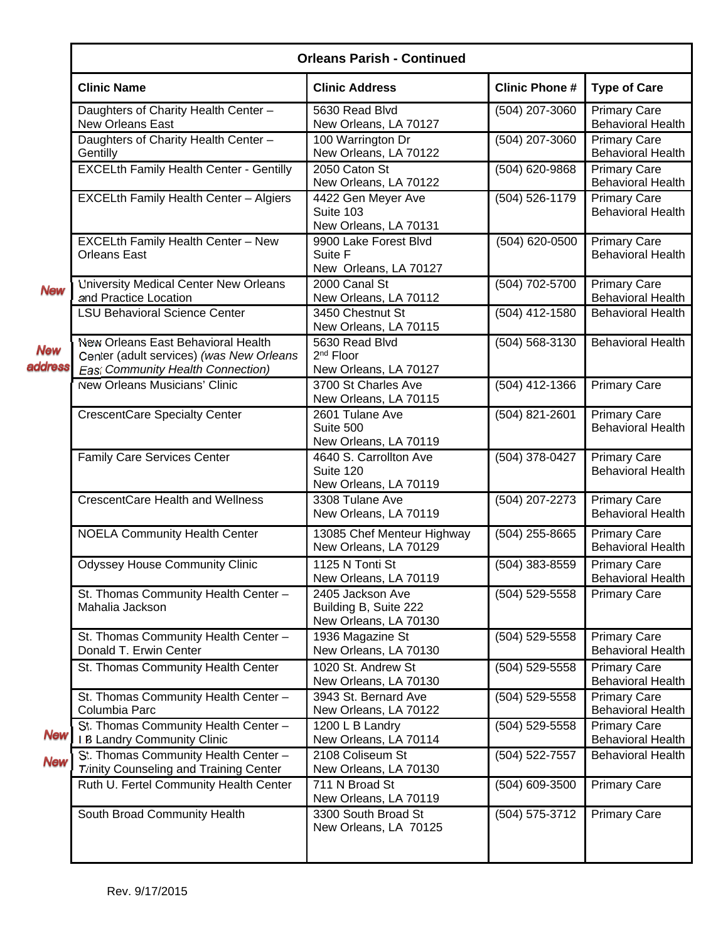|                       | <b>Orleans Parish - Continued</b>                                                                                          |                                                                    |                      |                                                 |  |
|-----------------------|----------------------------------------------------------------------------------------------------------------------------|--------------------------------------------------------------------|----------------------|-------------------------------------------------|--|
|                       | <b>Clinic Name</b>                                                                                                         | <b>Clinic Address</b>                                              | <b>Clinic Phone#</b> | <b>Type of Care</b>                             |  |
|                       | Daughters of Charity Health Center -<br><b>New Orleans East</b>                                                            | 5630 Read Blvd<br>New Orleans, LA 70127                            | (504) 207-3060       | <b>Primary Care</b><br><b>Behavioral Health</b> |  |
|                       | Daughters of Charity Health Center -<br>Gentilly                                                                           | 100 Warrington Dr<br>New Orleans, LA 70122                         | (504) 207-3060       | <b>Primary Care</b><br><b>Behavioral Health</b> |  |
|                       | <b>EXCELth Family Health Center - Gentilly</b>                                                                             | 2050 Caton St<br>New Orleans, LA 70122                             | (504) 620-9868       | <b>Primary Care</b><br><b>Behavioral Health</b> |  |
|                       | EXCELth Family Health Center - Algiers                                                                                     | 4422 Gen Meyer Ave<br>Suite 103<br>New Orleans, LA 70131           | (504) 526-1179       | <b>Primary Care</b><br><b>Behavioral Health</b> |  |
|                       | EXCELth Family Health Center - New<br><b>Orleans East</b>                                                                  | 9900 Lake Forest Blvd<br>Suite F<br>New Orleans, LA 70127          | (504) 620-0500       | <b>Primary Care</b><br><b>Behavioral Health</b> |  |
| <b>New</b>            | University Medical Center New Orleans<br>and Practice Location                                                             | 2000 Canal St<br>New Orleans, LA 70112                             | (504) 702-5700       | <b>Primary Care</b><br><b>Behavioral Health</b> |  |
|                       | <b>LSU Behavioral Science Center</b>                                                                                       | 3450 Chestnut St<br>New Orleans, LA 70115                          | (504) 412-1580       | <b>Behavioral Health</b>                        |  |
| <b>New</b><br>address | New Orleans East Behavioral Health<br>Center (adult services) (was New Orleans<br><b>East Community Health Connection)</b> | 5630 Read Blvd<br>2 <sup>nd</sup> Floor<br>New Orleans, LA 70127   | (504) 568-3130       | <b>Behavioral Health</b>                        |  |
|                       | <b>New Orleans Musicians' Clinic</b>                                                                                       | 3700 St Charles Ave<br>New Orleans, LA 70115                       | $(504)$ 412-1366     | <b>Primary Care</b>                             |  |
|                       | <b>CrescentCare Specialty Center</b>                                                                                       | 2601 Tulane Ave<br>Suite 500<br>New Orleans, LA 70119              | (504) 821-2601       | <b>Primary Care</b><br><b>Behavioral Health</b> |  |
|                       | Family Care Services Center                                                                                                | 4640 S. Carrollton Ave<br>Suite 120<br>New Orleans, LA 70119       | (504) 378-0427       | <b>Primary Care</b><br><b>Behavioral Health</b> |  |
|                       | <b>CrescentCare Health and Wellness</b>                                                                                    | 3308 Tulane Ave<br>New Orleans, LA 70119                           | (504) 207-2273       | <b>Primary Care</b><br><b>Behavioral Health</b> |  |
|                       | <b>NOELA Community Health Center</b>                                                                                       | 13085 Chef Menteur Highway<br>New Orleans, LA 70129                | (504) 255-8665       | <b>Primary Care</b><br><b>Behavioral Health</b> |  |
|                       | <b>Odyssey House Community Clinic</b>                                                                                      | 1125 N Tonti St<br>New Orleans, LA 70119                           | (504) 383-8559       | <b>Primary Care</b><br><b>Behavioral Health</b> |  |
|                       | St. Thomas Community Health Center -<br>Mahalia Jackson                                                                    | 2405 Jackson Ave<br>Building B, Suite 222<br>New Orleans, LA 70130 | (504) 529-5558       | <b>Primary Care</b>                             |  |
|                       | St. Thomas Community Health Center -<br>Donald T. Erwin Center                                                             | 1936 Magazine St<br>New Orleans, LA 70130                          | (504) 529-5558       | <b>Primary Care</b><br><b>Behavioral Health</b> |  |
|                       | St. Thomas Community Health Center                                                                                         | 1020 St. Andrew St<br>New Orleans, LA 70130                        | $(504) 529 - 5558$   | <b>Primary Care</b><br><b>Behavioral Health</b> |  |
|                       | St. Thomas Community Health Center -<br>Columbia Parc                                                                      | 3943 St. Bernard Ave<br>New Orleans, LA 70122                      | (504) 529-5558       | <b>Primary Care</b><br><b>Behavioral Health</b> |  |
| <b>New</b>            | St. Thomas Community Health Center -<br>LB Landry Community Clinic                                                         | 1200 L B Landry<br>New Orleans, LA 70114                           | (504) 529-5558       | <b>Primary Care</b><br><b>Behavioral Health</b> |  |
| <b>New</b>            | St. Thomas Community Health Center -<br><b>Trinity Counseling and Training Center</b>                                      | 2108 Coliseum St<br>New Orleans, LA 70130                          | (504) 522-7557       | <b>Behavioral Health</b>                        |  |
|                       | Ruth U. Fertel Community Health Center                                                                                     | 711 N Broad St<br>New Orleans, LA 70119                            | (504) 609-3500       | <b>Primary Care</b>                             |  |
|                       | South Broad Community Health                                                                                               | 3300 South Broad St<br>New Orleans, LA 70125                       | (504) 575-3712       | <b>Primary Care</b>                             |  |